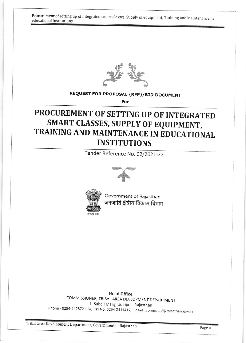Procurement of setting up of integrated smart classes, Supply of equipment, Training and Maintenance in educational institutions



## REQUEST FOR PROPOSAL (RFP)/BID DOCUMENT

For

# PROCUREMENT OF SETTING UP OF INTEGRATED SMART CLASSES, SUPPLY OF EQUIPMENT, TRAINING AND MAINTENANCE IN EDUCATIONAL INSTITUTIONS

Tender Reference No. 02/2021-22





Government of Rajasthan जनजाति क्षेत्रीय विकास विभाग

Head Office: COMMISSIONER, TRIBAL AREA DEVLOPMENT DEPARTMENT 1, Saheli Marg, Udaipur- Rajasthan Phone - 0294-2428721-24, Fax No. 0294-2411417, E-Mail : comm.tad@rajasthan.gov.in

Tribal area Development Department, Government of Rajasthan Page 0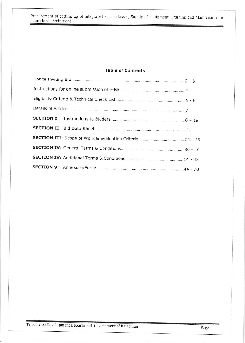Procurement of setting up of integrated smart classes, Supply of equipment, Training and Maintenance in educational institutions

#### **Table of Contents**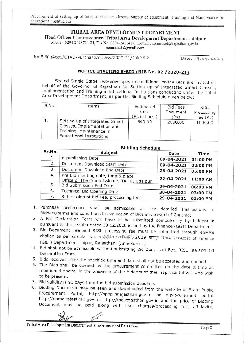Procurement of setting up of integrated smart classes, Supply of equipment, Training and Maintenance in educational institutions

### TRIBAL AREA DEVELOPMENT DEPARTMENT

Head Office: Commissioner, Tribal Area Development Department, Udaipur

Phone - 0294-2428721-24, Fax No. 0294-2411417, E-Mail: comm.tad@rajasthan.gov.in, comm.tad.@gmail.com

No.F.6()Acct./CTAD/Purchase/eClass/2020-21/13032

 $Date: 09.04.2021$ 

#### NOTICE INVITING E-BID (NIB No. 02 / 2020-21)

Sealed Single Stage Two-envelopes unconditional online Bids are invited on behalf of the Governor of Rajasthan for Setting up of Integrated Smart Classes, Implementation and Training in Educational Institutions conducting under the Tribal Area Development Department, as per the Bidding Schedule given below:

| S.No. | Items                                                                                                                        | Estimated<br>Cost<br>(Rs in Lacs.) | <b>Bid Fees</b><br>Document<br>(Rs) | RISL<br>Processing<br>Fee (Rs) |
|-------|------------------------------------------------------------------------------------------------------------------------------|------------------------------------|-------------------------------------|--------------------------------|
|       | Setting up of Integrated Smart<br>Classes, Implementation and<br>Training, Maintenance in<br><b>Educational Institutions</b> | 640.00                             | 2000.00                             | 1000.00                        |

**Bidding Schedule** 

| Sr.No. | <b>Subject</b>                                                                  | Date       | Time     |
|--------|---------------------------------------------------------------------------------|------------|----------|
| 1.     | e-publishing Date                                                               | 09-04-2021 | 01:00 PM |
| 2.     | Document Download Start Date                                                    | 09-04-2021 | 02:00 PM |
| 3.     | Document Download End Date                                                      | 28-04-2021 | 05:00 PM |
| 4.     | Pre Bid meeting date, time & place<br>Office of The Commissioner, TADD, Udaipur | 22-04-2021 | 11:00 AM |
| 5.     | <b>Bid Submission End Date</b>                                                  | 29-04-2021 | 06:00 PM |
| 6.     | Technical Bid Opening Date                                                      | 30-04-2021 | 03:00 PM |
| 7.     | Submission of Bid Fee, processing fees                                          | 29-04-2021 | 01:00 PM |

- 1. Purchase preference shall be admissible as per detailed Instructions to Bidders/terms and conditions in evaluation of Bids and award of Contract.
- 2. A Bid Declaration Form will have to be submitted compulsorily by bidders in pursuant to the circular dated 23.12.2020 issued by the Finance (G&T) Department.
- 3. Bid Document Fee and RISL processing fee must be submitted through eGRAS challan as per circular No. पं.6(5)वित्त/साविलेनि/2019 जयपुर दिनांक 27.04.2020 of Finance (G&T) Department Jaipur, Rajasthan. (Annexure-T)
- 4. Bid shall not be admissible without submitting Bid Document Fee, RISL Fee and Bid Declaration From.
- 5. Bids received after the specified time and date shall not be accepted and opened.
- 6. The Bids shall be opened by the procurement committee on the date & time as mentioned above, in the presence of the Bidders of their representatives who wish to be present.
- 7. Bid validity is 90 days from the bid submission deadline.
- 8. Bidding Document may be seen and downloaded from the website of State Public Procurement Portal, http://sppp.rajajasthan.gov.in or e-procurement portal http://eproc.rajasthan.gov.in, http://tad.rajasthan.gov.in and the price of Bidding Document may be paid along with user charges/processing fee, affidavits,

Tribal Area Development Department, Government of Rajasthan